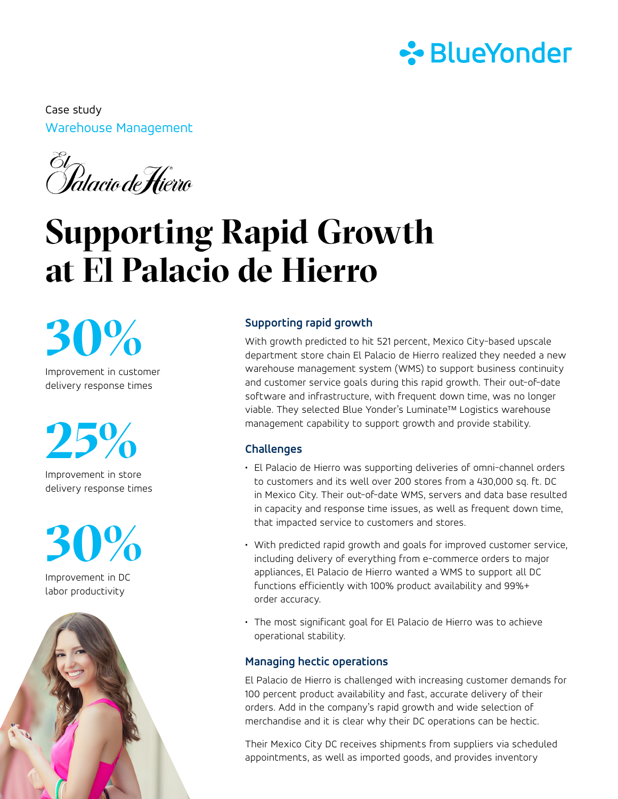

Warehouse Management Case study

El<br>Palacio de <del>H</del>ierro

# **Supporting Rapid Growth at El Palacio de Hierro**

**30%**

Improvement in customer delivery response times

**25%**

Improvement in store delivery response times



Improvement in DC labor productivity



### **Supporting rapid growth**

With growth predicted to hit 521 percent, Mexico City-based upscale department store chain El Palacio de Hierro realized they needed a new warehouse management system (WMS) to support business continuity and customer service goals during this rapid growth. Their out-of-date software and infrastructure, with frequent down time, was no longer viable. They selected Blue Yonder's Luminate™ Logistics warehouse management capability to support growth and provide stability.

# **Challenges**

- El Palacio de Hierro was supporting deliveries of omni-channel orders to customers and its well over 200 stores from a 430,000 sq. ft. DC in Mexico City. Their out-of-date WMS, servers and data base resulted in capacity and response time issues, as well as frequent down time, that impacted service to customers and stores.
- With predicted rapid growth and goals for improved customer service, including delivery of everything from e-commerce orders to major appliances, El Palacio de Hierro wanted a WMS to support all DC functions efficiently with 100% product availability and 99%+ order accuracy.
- The most significant goal for El Palacio de Hierro was to achieve operational stability.

#### **Managing hectic operations**

El Palacio de Hierro is challenged with increasing customer demands for 100 percent product availability and fast, accurate delivery of their orders. Add in the company's rapid growth and wide selection of merchandise and it is clear why their DC operations can be hectic.

Their Mexico City DC receives shipments from suppliers via scheduled appointments, as well as imported goods, and provides inventory